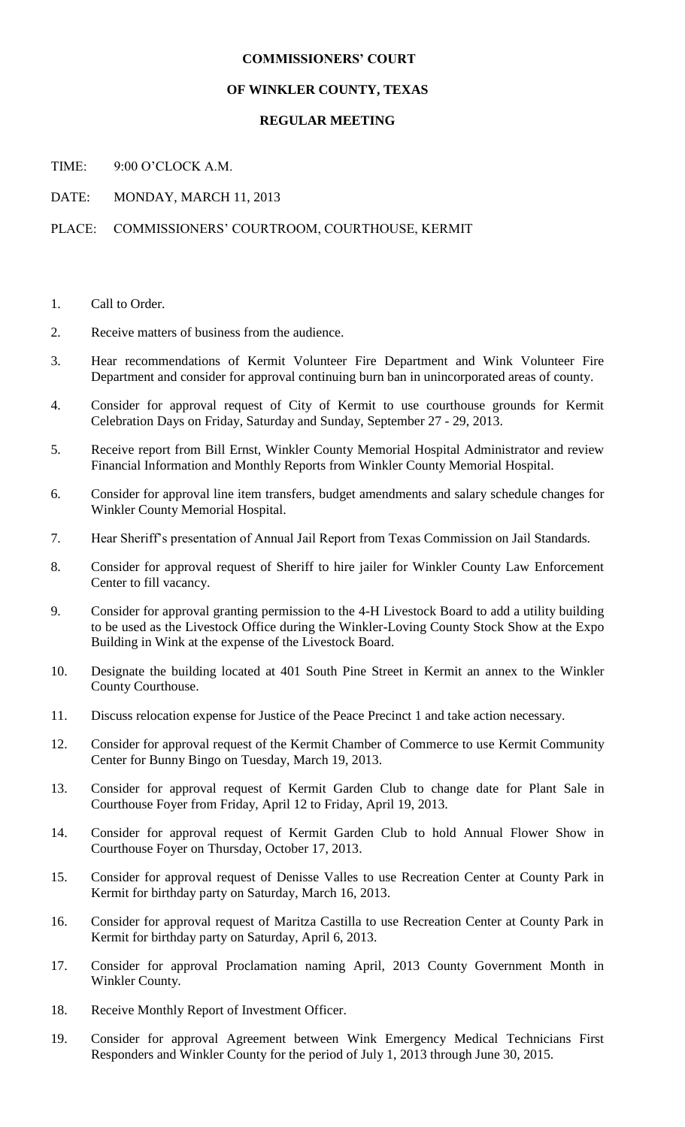## **COMMISSIONERS' COURT**

#### **OF WINKLER COUNTY, TEXAS**

### **REGULAR MEETING**

TIME: 9:00 O'CLOCK A.M.

DATE: MONDAY, MARCH 11, 2013

## PLACE: COMMISSIONERS' COURTROOM, COURTHOUSE, KERMIT

- 1. Call to Order.
- 2. Receive matters of business from the audience.
- 3. Hear recommendations of Kermit Volunteer Fire Department and Wink Volunteer Fire Department and consider for approval continuing burn ban in unincorporated areas of county.
- 4. Consider for approval request of City of Kermit to use courthouse grounds for Kermit Celebration Days on Friday, Saturday and Sunday, September 27 - 29, 2013.
- 5. Receive report from Bill Ernst, Winkler County Memorial Hospital Administrator and review Financial Information and Monthly Reports from Winkler County Memorial Hospital.
- 6. Consider for approval line item transfers, budget amendments and salary schedule changes for Winkler County Memorial Hospital.
- 7. Hear Sheriff's presentation of Annual Jail Report from Texas Commission on Jail Standards.
- 8. Consider for approval request of Sheriff to hire jailer for Winkler County Law Enforcement Center to fill vacancy.
- 9. Consider for approval granting permission to the 4-H Livestock Board to add a utility building to be used as the Livestock Office during the Winkler-Loving County Stock Show at the Expo Building in Wink at the expense of the Livestock Board.
- 10. Designate the building located at 401 South Pine Street in Kermit an annex to the Winkler County Courthouse.
- 11. Discuss relocation expense for Justice of the Peace Precinct 1 and take action necessary.
- 12. Consider for approval request of the Kermit Chamber of Commerce to use Kermit Community Center for Bunny Bingo on Tuesday, March 19, 2013.
- 13. Consider for approval request of Kermit Garden Club to change date for Plant Sale in Courthouse Foyer from Friday, April 12 to Friday, April 19, 2013.
- 14. Consider for approval request of Kermit Garden Club to hold Annual Flower Show in Courthouse Foyer on Thursday, October 17, 2013.
- 15. Consider for approval request of Denisse Valles to use Recreation Center at County Park in Kermit for birthday party on Saturday, March 16, 2013.
- 16. Consider for approval request of Maritza Castilla to use Recreation Center at County Park in Kermit for birthday party on Saturday, April 6, 2013.
- 17. Consider for approval Proclamation naming April, 2013 County Government Month in Winkler County.
- 18. Receive Monthly Report of Investment Officer.
- 19. Consider for approval Agreement between Wink Emergency Medical Technicians First Responders and Winkler County for the period of July 1, 2013 through June 30, 2015.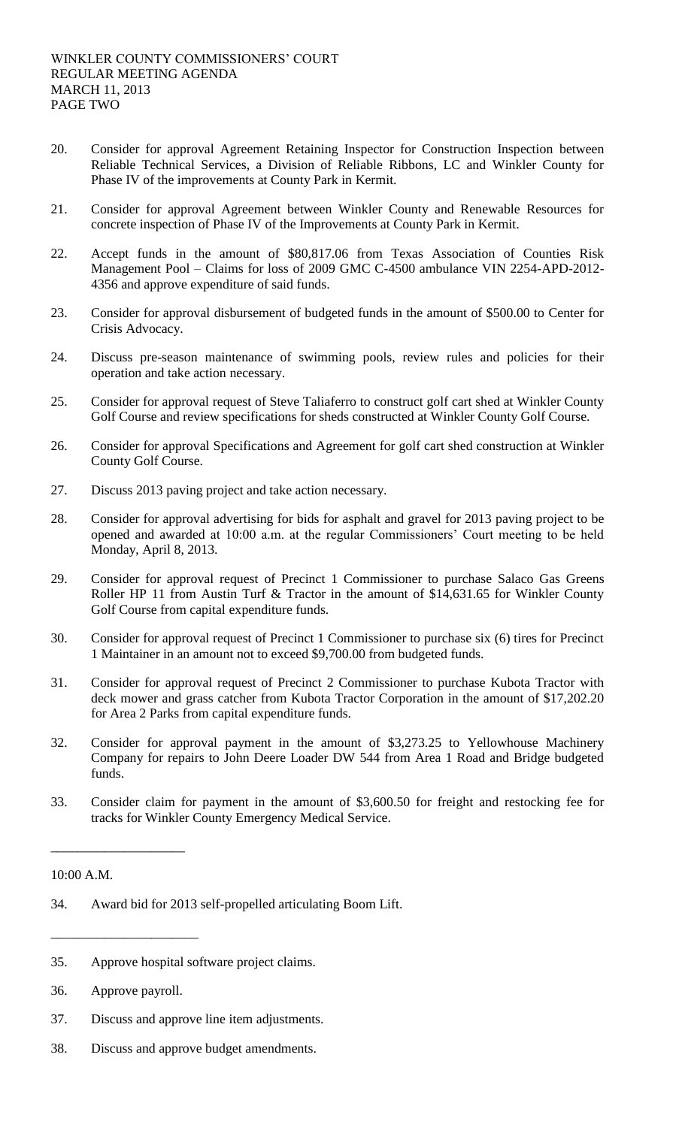- 20. Consider for approval Agreement Retaining Inspector for Construction Inspection between Reliable Technical Services, a Division of Reliable Ribbons, LC and Winkler County for Phase IV of the improvements at County Park in Kermit.
- 21. Consider for approval Agreement between Winkler County and Renewable Resources for concrete inspection of Phase IV of the Improvements at County Park in Kermit.
- 22. Accept funds in the amount of \$80,817.06 from Texas Association of Counties Risk Management Pool – Claims for loss of 2009 GMC C-4500 ambulance VIN 2254-APD-2012- 4356 and approve expenditure of said funds.
- 23. Consider for approval disbursement of budgeted funds in the amount of \$500.00 to Center for Crisis Advocacy.
- 24. Discuss pre-season maintenance of swimming pools, review rules and policies for their operation and take action necessary.
- 25. Consider for approval request of Steve Taliaferro to construct golf cart shed at Winkler County Golf Course and review specifications for sheds constructed at Winkler County Golf Course.
- 26. Consider for approval Specifications and Agreement for golf cart shed construction at Winkler County Golf Course.
- 27. Discuss 2013 paving project and take action necessary.
- 28. Consider for approval advertising for bids for asphalt and gravel for 2013 paving project to be opened and awarded at 10:00 a.m. at the regular Commissioners' Court meeting to be held Monday, April 8, 2013.
- 29. Consider for approval request of Precinct 1 Commissioner to purchase Salaco Gas Greens Roller HP 11 from Austin Turf & Tractor in the amount of \$14,631.65 for Winkler County Golf Course from capital expenditure funds.
- 30. Consider for approval request of Precinct 1 Commissioner to purchase six (6) tires for Precinct 1 Maintainer in an amount not to exceed \$9,700.00 from budgeted funds.
- 31. Consider for approval request of Precinct 2 Commissioner to purchase Kubota Tractor with deck mower and grass catcher from Kubota Tractor Corporation in the amount of \$17,202.20 for Area 2 Parks from capital expenditure funds.
- 32. Consider for approval payment in the amount of \$3,273.25 to Yellowhouse Machinery Company for repairs to John Deere Loader DW 544 from Area 1 Road and Bridge budgeted funds.
- 33. Consider claim for payment in the amount of \$3,600.50 for freight and restocking fee for tracks for Winkler County Emergency Medical Service.

10:00 A.M.

- 34. Award bid for 2013 self-propelled articulating Boom Lift.
- 35. Approve hospital software project claims.
- 36. Approve payroll.

\_\_\_\_\_\_\_\_\_\_\_\_\_\_\_\_\_\_\_\_\_\_

\_\_\_\_\_\_\_\_\_\_\_\_\_\_\_\_\_\_\_\_

- 37. Discuss and approve line item adjustments.
- 38. Discuss and approve budget amendments.